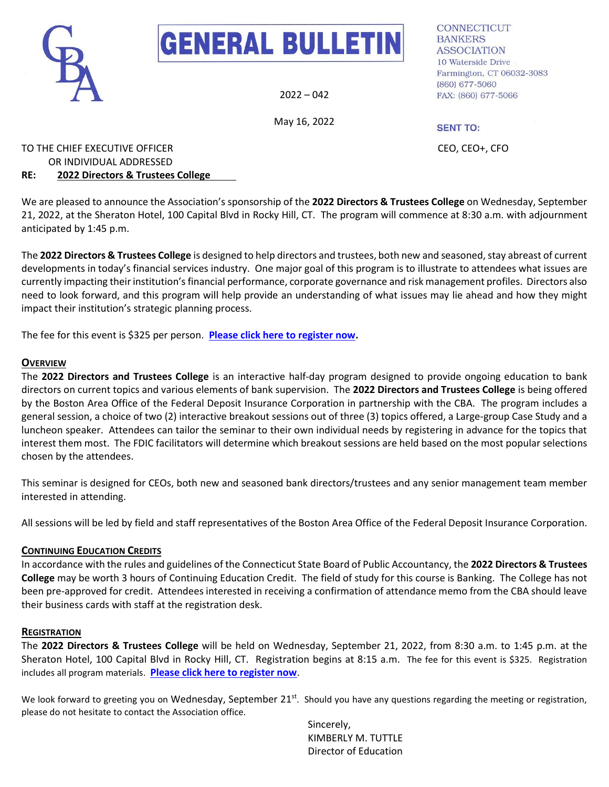



2022 – 042

May 16, 2022

**CONNECTICUT BANKERS ASSOCIATION** 10 Waterside Drive Farmington, CT 06032-3083 (860) 677-5060 FAX: (860) 677-5066

**SENT TO:** 

# TO THE CHIEF EXECUTIVE OFFICER CEO, CEO+, CFO

OR INDIVIDUAL ADDRESSED

### **RE: 2022 Directors & Trustees College**

We are pleased to announce the Association's sponsorship of the **2022 Directors & Trustees College** on Wednesday, September 21, 2022, at the Sheraton Hotel, 100 Capital Blvd in Rocky Hill, CT. The program will commence at 8:30 a.m. with adjournment anticipated by 1:45 p.m.

The **2022 Directors & Trustees College** is designed to help directors and trustees, both new and seasoned, stay abreast of current developments in today's financial services industry. One major goal of this program is to illustrate to attendees what issues are currently impacting their institution's financial performance, corporate governance and risk management profiles. Directors also need to look forward, and this program will help provide an understanding of what issues may lie ahead and how they might impact their institution's strategic planning process.

The fee for this event is \$325 per person. **[Please click here to register now.](https://connecticutbankersassociation.growthzoneapp.com/ap/Events/Register/ep0qjD2P?mode=Attendee)**

### **OVERVIEW**

The **2022 Directors and Trustees College** is an interactive half-day program designed to provide ongoing education to bank directors on current topics and various elements of bank supervision. The **2022 Directors and Trustees College** is being offered by the Boston Area Office of the Federal Deposit Insurance Corporation in partnership with the CBA. The program includes a general session, a choice of two (2) interactive breakout sessions out of three (3) topics offered, a Large-group Case Study and a luncheon speaker. Attendees can tailor the seminar to their own individual needs by registering in advance for the topics that interest them most. The FDIC facilitators will determine which breakout sessions are held based on the most popular selections chosen by the attendees.

This seminar is designed for CEOs, both new and seasoned bank directors/trustees and any senior management team member interested in attending.

All sessions will be led by field and staff representatives of the Boston Area Office of the Federal Deposit Insurance Corporation.

#### **CONTINUING EDUCATION CREDITS**

In accordance with the rules and guidelines of the Connecticut State Board of Public Accountancy, the **2022 Directors & Trustees College** may be worth 3 hours of Continuing Education Credit. The field of study for this course is Banking. The College has not been pre-approved for credit. Attendees interested in receiving a confirmation of attendance memo from the CBA should leave their business cards with staff at the registration desk.

#### **REGISTRATION**

The **2022 Directors & Trustees College** will be held on Wednesday, September 21, 2022, from 8:30 a.m. to 1:45 p.m. at the Sheraton Hotel, 100 Capital Blvd in Rocky Hill, CT. Registration begins at 8:15 a.m. The fee for this event is \$325. Registration includes all program materials. **[Please click here to register now](https://connecticutbankersassociation.growthzoneapp.com/ap/Events/Register/ep0qjD2P?mode=Attendee)**.

We look forward to greeting you on Wednesday, September 21<sup>st</sup>. Should you have any questions regarding the meeting or registration, please do not hesitate to contact the Association office.

> Sincerely, KIMBERLY M. TUTTLE Director of Education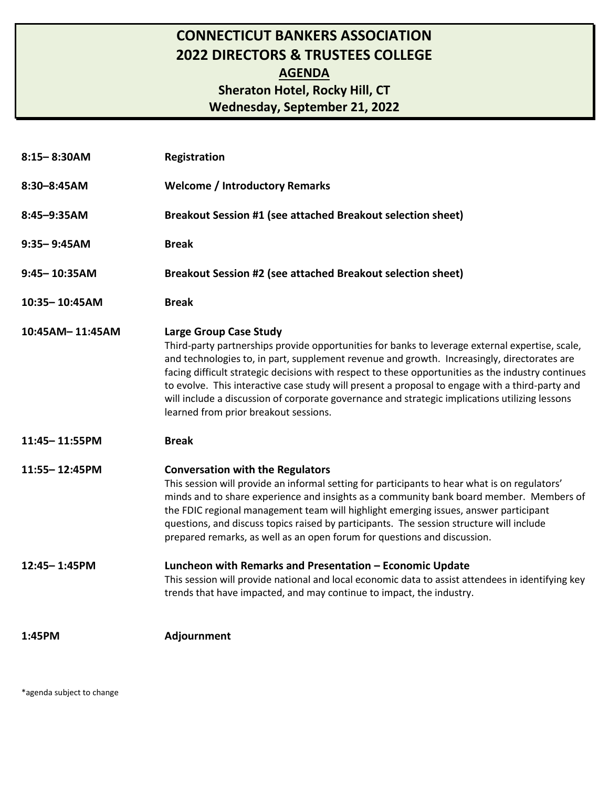# **CONNECTICUT BANKERS ASSOCIATION 2022 DIRECTORS & TRUSTEES COLLEGE AGENDA**

## **Sheraton Hotel, Rocky Hill, CT Wednesday, September 21, 2022**

| 8:15-8:30AM      | <b>Registration</b>                                                                                                                                                                                                                                                                                                                                                                                                                                                                                                                                                                 |
|------------------|-------------------------------------------------------------------------------------------------------------------------------------------------------------------------------------------------------------------------------------------------------------------------------------------------------------------------------------------------------------------------------------------------------------------------------------------------------------------------------------------------------------------------------------------------------------------------------------|
| 8:30-8:45AM      | <b>Welcome / Introductory Remarks</b>                                                                                                                                                                                                                                                                                                                                                                                                                                                                                                                                               |
| 8:45-9:35AM      | Breakout Session #1 (see attached Breakout selection sheet)                                                                                                                                                                                                                                                                                                                                                                                                                                                                                                                         |
| $9:35 - 9:45AM$  | <b>Break</b>                                                                                                                                                                                                                                                                                                                                                                                                                                                                                                                                                                        |
| $9:45 - 10:35AM$ | Breakout Session #2 (see attached Breakout selection sheet)                                                                                                                                                                                                                                                                                                                                                                                                                                                                                                                         |
| 10:35-10:45AM    | <b>Break</b>                                                                                                                                                                                                                                                                                                                                                                                                                                                                                                                                                                        |
| 10:45AM-11:45AM  | <b>Large Group Case Study</b><br>Third-party partnerships provide opportunities for banks to leverage external expertise, scale,<br>and technologies to, in part, supplement revenue and growth. Increasingly, directorates are<br>facing difficult strategic decisions with respect to these opportunities as the industry continues<br>to evolve. This interactive case study will present a proposal to engage with a third-party and<br>will include a discussion of corporate governance and strategic implications utilizing lessons<br>learned from prior breakout sessions. |
| 11:45-11:55PM    | <b>Break</b>                                                                                                                                                                                                                                                                                                                                                                                                                                                                                                                                                                        |
| 11:55-12:45PM    | <b>Conversation with the Regulators</b><br>This session will provide an informal setting for participants to hear what is on regulators'<br>minds and to share experience and insights as a community bank board member. Members of<br>the FDIC regional management team will highlight emerging issues, answer participant<br>questions, and discuss topics raised by participants. The session structure will include<br>prepared remarks, as well as an open forum for questions and discussion.                                                                                 |
| 12:45-1:45PM     | Luncheon with Remarks and Presentation - Economic Update<br>This session will provide national and local economic data to assist attendees in identifying key<br>trends that have impacted, and may continue to impact, the industry.                                                                                                                                                                                                                                                                                                                                               |
| 1:45PM           | Adjournment                                                                                                                                                                                                                                                                                                                                                                                                                                                                                                                                                                         |

\*agenda subject to change